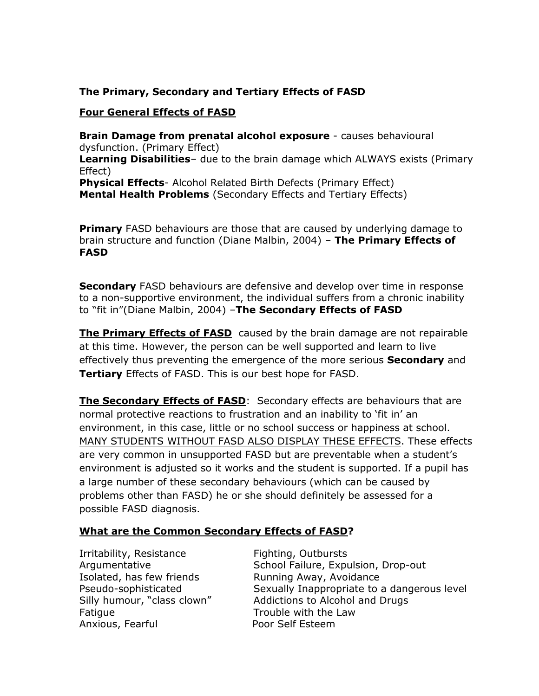### **The Primary, Secondary and Tertiary Effects of FASD**

#### **Four General Effects of FASD**

**Brain Damage from prenatal alcohol exposure** - causes behavioural dysfunction. (Primary Effect) **Learning Disabilities**– due to the brain damage which ALWAYS exists (Primary Effect) **Physical Effects**- Alcohol Related Birth Defects (Primary Effect) **Mental Health Problems** (Secondary Effects and Tertiary Effects)

**Primary** FASD behaviours are those that are caused by underlying damage to brain structure and function (Diane Malbin, 2004) – **The Primary Effects of FASD**

**Secondary** FASD behaviours are defensive and develop over time in response to a non-supportive environment, the individual suffers from a chronic inability to "fit in"(Diane Malbin, 2004) –**The Secondary Effects of FASD**

**The Primary Effects of FASD** caused by the brain damage are not repairable at this time. However, the person can be well supported and learn to live effectively thus preventing the emergence of the more serious **Secondary** and **Tertiary** Effects of FASD. This is our best hope for FASD.

**The Secondary Effects of FASD**: Secondary effects are behaviours that are normal protective reactions to frustration and an inability to 'fit in' an environment, in this case, little or no school success or happiness at school. MANY STUDENTS WITHOUT FASD ALSO DISPLAY THESE EFFECTS. These effects are very common in unsupported FASD but are preventable when a student's environment is adjusted so it works and the student is supported. If a pupil has a large number of these secondary behaviours (which can be caused by problems other than FASD) he or she should definitely be assessed for a possible FASD diagnosis.

#### **What are the Common Secondary Effects of FASD?**

Irritability, Resistance Fighting, Outbursts Isolated, has few friends Running Away, Avoidance Fatigue Trouble with the Law Anxious, Fearful **Poor Self Esteem** 

Argumentative **School Failure, Expulsion, Drop-out** Pseudo-sophisticated Sexually Inappropriate to a dangerous level Silly humour, "class clown" Addictions to Alcohol and Drugs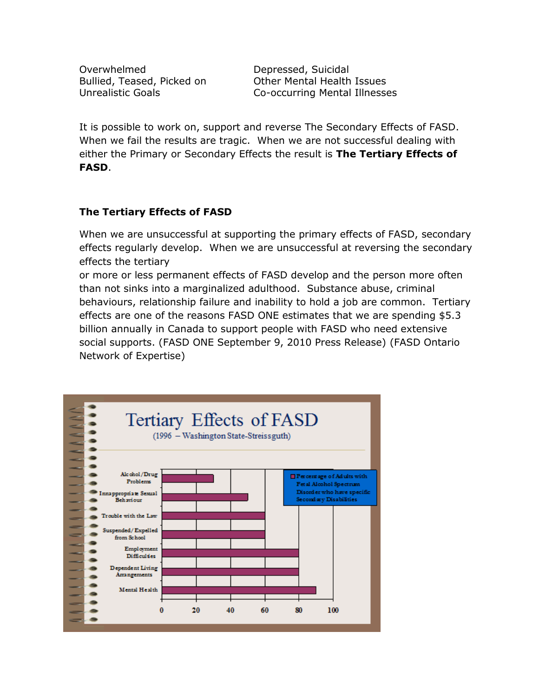Overwhelmed Depressed, Suicidal

Bullied, Teased, Picked on Other Mental Health Issues Unrealistic Goals Co-occurring Mental Illnesses

It is possible to work on, support and reverse The Secondary Effects of FASD. When we fail the results are tragic. When we are not successful dealing with either the Primary or Secondary Effects the result is **The Tertiary Effects of FASD**.

## **The Tertiary Effects of FASD**

When we are unsuccessful at supporting the primary effects of FASD, secondary effects regularly develop. When we are unsuccessful at reversing the secondary effects the tertiary

or more or less permanent effects of FASD develop and the person more often than not sinks into a marginalized adulthood. Substance abuse, criminal behaviours, relationship failure and inability to hold a job are common. Tertiary effects are one of the reasons FASD ONE estimates that we are spending \$5.3 billion annually in Canada to support people with FASD who need extensive social supports. (FASD ONE September 9, 2010 Press Release) (FASD Ontario Network of Expertise)